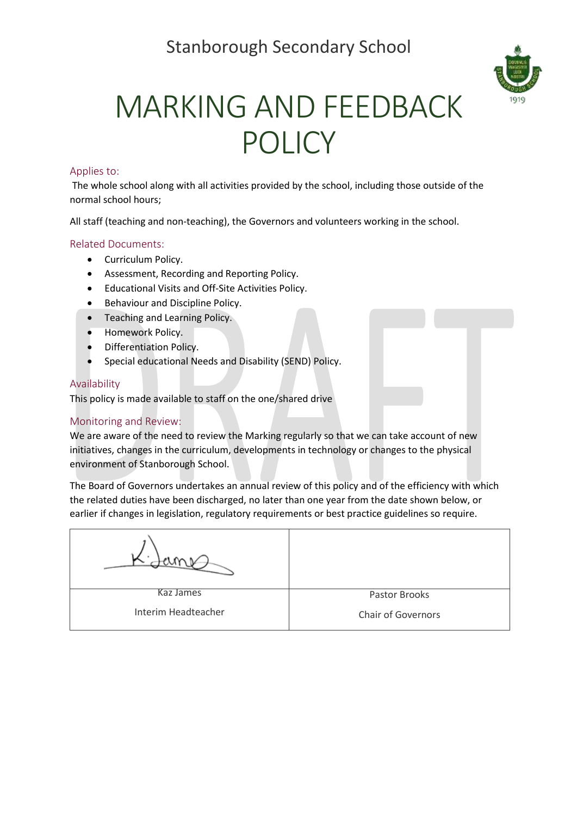

# MARKING AND FEEDBACK POLICY

#### Applies to:

The whole school along with all activities provided by the school, including those outside of the normal school hours;

All staff (teaching and non-teaching), the Governors and volunteers working in the school.

#### Related Documents:

- Curriculum Policy.
- Assessment, Recording and Reporting Policy.
- Educational Visits and Off-Site Activities Policy.
- Behaviour and Discipline Policy.
- Teaching and Learning Policy.
- Homework Policy.
- Differentiation Policy.
- Special educational Needs and Disability (SEND) Policy.

#### Availability

This policy is made available to staff on the one/shared drive

#### Monitoring and Review:

We are aware of the need to review the Marking regularly so that we can take account of new initiatives, changes in the curriculum, developments in technology or changes to the physical environment of Stanborough School.

The Board of Governors undertakes an annual review of this policy and of the efficiency with which the related duties have been discharged, no later than one year from the date shown below, or earlier if changes in legislation, regulatory requirements or best practice guidelines so require.

| Kaz James           | Pastor Brooks             |
|---------------------|---------------------------|
| Interim Headteacher | <b>Chair of Governors</b> |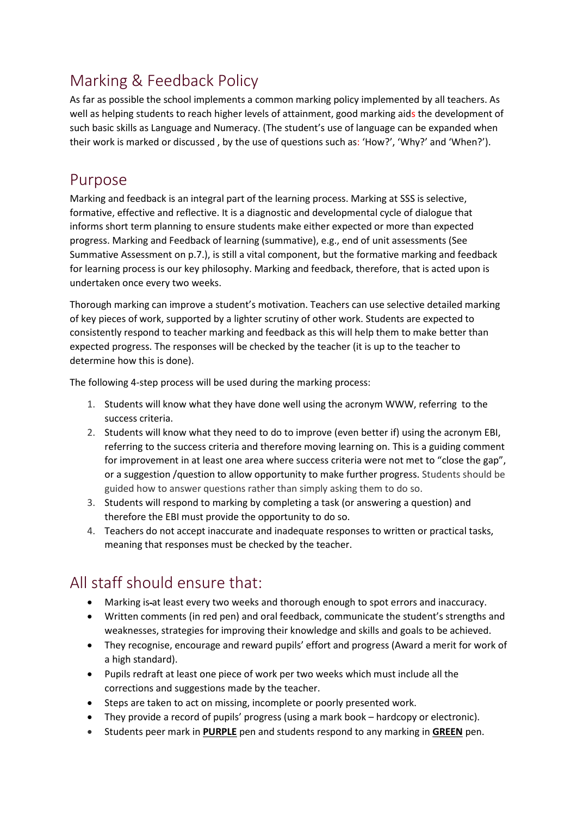## Marking & Feedback Policy

As far as possible the school implements a common marking policy implemented by all teachers. As well as helping students to reach higher levels of attainment, good marking aids the development of such basic skills as Language and Numeracy. (The student's use of language can be expanded when their work is marked or discussed , by the use of questions such as: 'How?', 'Why?' and 'When?').

#### Purpose

Marking and feedback is an integral part of the learning process. Marking at SSS is selective, formative, effective and reflective. It is a diagnostic and developmental cycle of dialogue that informs short term planning to ensure students make either expected or more than expected progress. Marking and Feedback of learning (summative), e.g., end of unit assessments (See Summative Assessment on p.7.), is still a vital component, but the formative marking and feedback for learning process is our key philosophy. Marking and feedback, therefore, that is acted upon is undertaken once every two weeks.

Thorough marking can improve a student's motivation. Teachers can use selective detailed marking of key pieces of work, supported by a lighter scrutiny of other work. Students are expected to consistently respond to teacher marking and feedback as this will help them to make better than expected progress. The responses will be checked by the teacher (it is up to the teacher to determine how this is done).

The following 4-step process will be used during the marking process:

- 1. Students will know what they have done well using the acronym WWW, referring to the success criteria.
- 2. Students will know what they need to do to improve (even better if) using the acronym EBI, referring to the success criteria and therefore moving learning on. This is a guiding comment for improvement in at least one area where success criteria were not met to "close the gap", or a suggestion /question to allow opportunity to make further progress. Students should be guided how to answer questions rather than simply asking them to do so.
- 3. Students will respond to marking by completing a task (or answering a question) and therefore the EBI must provide the opportunity to do so.
- 4. Teachers do not accept inaccurate and inadequate responses to written or practical tasks, meaning that responses must be checked by the teacher.

## All staff should ensure that:

- Marking is at least every two weeks and thorough enough to spot errors and inaccuracy.
- Written comments (in red pen) and oral feedback, communicate the student's strengths and weaknesses, strategies for improving their knowledge and skills and goals to be achieved.
- They recognise, encourage and reward pupils' effort and progress (Award a merit for work of a high standard).
- Pupils redraft at least one piece of work per two weeks which must include all the corrections and suggestions made by the teacher.
- Steps are taken to act on missing, incomplete or poorly presented work.
- They provide a record of pupils' progress (using a mark book hardcopy or electronic).
- Students peer mark in **PURPLE** pen and students respond to any marking in **GREEN** pen.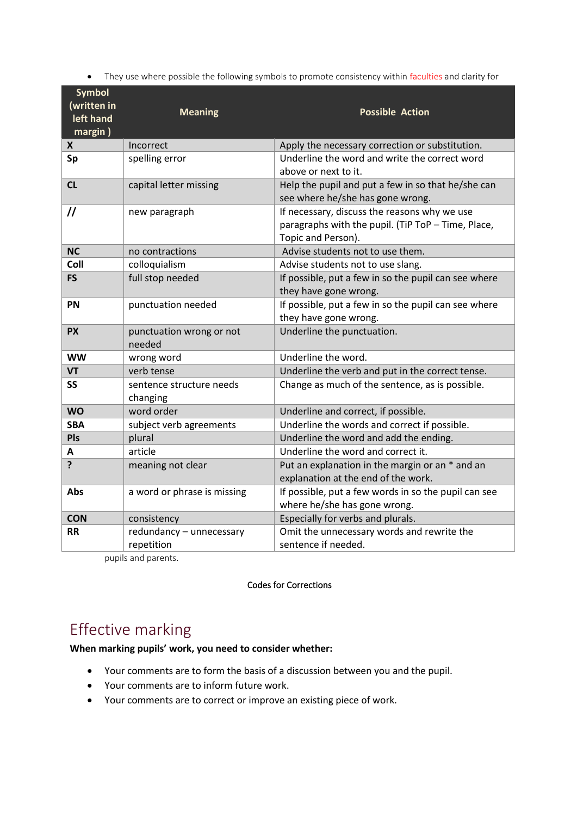| <b>Symbol</b><br>(written in<br>left hand<br>margin) | <b>Meaning</b>                         | <b>Possible Action</b>                                                                                                   |
|------------------------------------------------------|----------------------------------------|--------------------------------------------------------------------------------------------------------------------------|
| X                                                    | Incorrect                              | Apply the necessary correction or substitution.                                                                          |
| Sp                                                   | spelling error                         | Underline the word and write the correct word<br>above or next to it.                                                    |
| CL                                                   | capital letter missing                 | Help the pupil and put a few in so that he/she can<br>see where he/she has gone wrong.                                   |
| $\prime\prime$                                       | new paragraph                          | If necessary, discuss the reasons why we use<br>paragraphs with the pupil. (TiP ToP - Time, Place,<br>Topic and Person). |
| <b>NC</b>                                            | no contractions                        | Advise students not to use them.                                                                                         |
| Coll                                                 | colloquialism                          | Advise students not to use slang.                                                                                        |
| <b>FS</b>                                            | full stop needed                       | If possible, put a few in so the pupil can see where<br>they have gone wrong.                                            |
| <b>PN</b>                                            | punctuation needed                     | If possible, put a few in so the pupil can see where<br>they have gone wrong.                                            |
| <b>PX</b>                                            | punctuation wrong or not<br>needed     | Underline the punctuation.                                                                                               |
| <b>WW</b>                                            | wrong word                             | Underline the word.                                                                                                      |
| <b>VT</b>                                            | verb tense                             | Underline the verb and put in the correct tense.                                                                         |
| <b>SS</b>                                            | sentence structure needs<br>changing   | Change as much of the sentence, as is possible.                                                                          |
| <b>WO</b>                                            | word order                             | Underline and correct, if possible.                                                                                      |
| <b>SBA</b>                                           | subject verb agreements                | Underline the words and correct if possible.                                                                             |
| Pls                                                  | plural                                 | Underline the word and add the ending.                                                                                   |
| A                                                    | article                                | Underline the word and correct it.                                                                                       |
| ?                                                    | meaning not clear                      | Put an explanation in the margin or an * and an<br>explanation at the end of the work.                                   |
| <b>Abs</b>                                           | a word or phrase is missing            | If possible, put a few words in so the pupil can see<br>where he/she has gone wrong.                                     |
| <b>CON</b>                                           | consistency                            | Especially for verbs and plurals.                                                                                        |
| <b>RR</b>                                            | redundancy - unnecessary<br>repetition | Omit the unnecessary words and rewrite the<br>sentence if needed.                                                        |

pupils and parents.

#### Codes for Corrections

### Effective marking

**When marking pupils' work, you need to consider whether:**

- Your comments are to form the basis of a discussion between you and the pupil.
- Your comments are to inform future work.
- Your comments are to correct or improve an existing piece of work.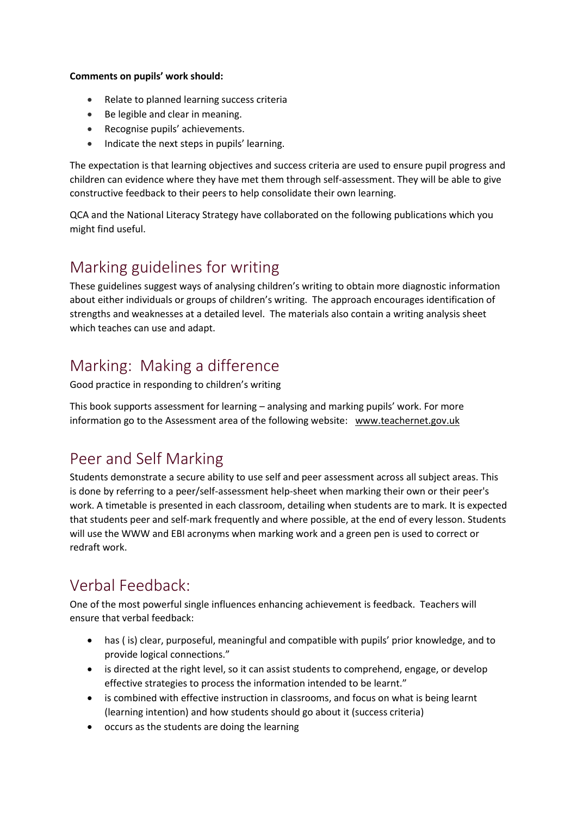#### **Comments on pupils' work should:**

- Relate to planned learning success criteria
- Be legible and clear in meaning.
- Recognise pupils' achievements.
- Indicate the next steps in pupils' learning.

The expectation is that learning objectives and success criteria are used to ensure pupil progress and children can evidence where they have met them through self-assessment. They will be able to give constructive feedback to their peers to help consolidate their own learning.

QCA and the National Literacy Strategy have collaborated on the following publications which you might find useful.

### Marking guidelines for writing

These guidelines suggest ways of analysing children's writing to obtain more diagnostic information about either individuals or groups of children's writing. The approach encourages identification of strengths and weaknesses at a detailed level. The materials also contain a writing analysis sheet which teaches can use and adapt.

## Marking: Making a difference

Good practice in responding to children's writing

This book supports assessment for learning – analysing and marking pupils' work. For more information go to the Assessment area of the following website: [www.teachernet.gov.uk](http://www.teachernet.gov.uk/)

### Peer and Self Marking

Students demonstrate a secure ability to use self and peer assessment across all subject areas. This is done by referring to a peer/self-assessment help-sheet when marking their own or their peer's work. A timetable is presented in each classroom, detailing when students are to mark. It is expected that students peer and self-mark frequently and where possible, at the end of every lesson. Students will use the WWW and EBI acronyms when marking work and a green pen is used to correct or redraft work.

### Verbal Feedback:

One of the most powerful single influences enhancing achievement is feedback. Teachers will ensure that verbal feedback:

- has ( is) clear, purposeful, meaningful and compatible with pupils' prior knowledge, and to provide logical connections."
- is directed at the right level, so it can assist students to comprehend, engage, or develop effective strategies to process the information intended to be learnt."
- is combined with effective instruction in classrooms, and focus on what is being learnt (learning intention) and how students should go about it (success criteria)
- occurs as the students are doing the learning